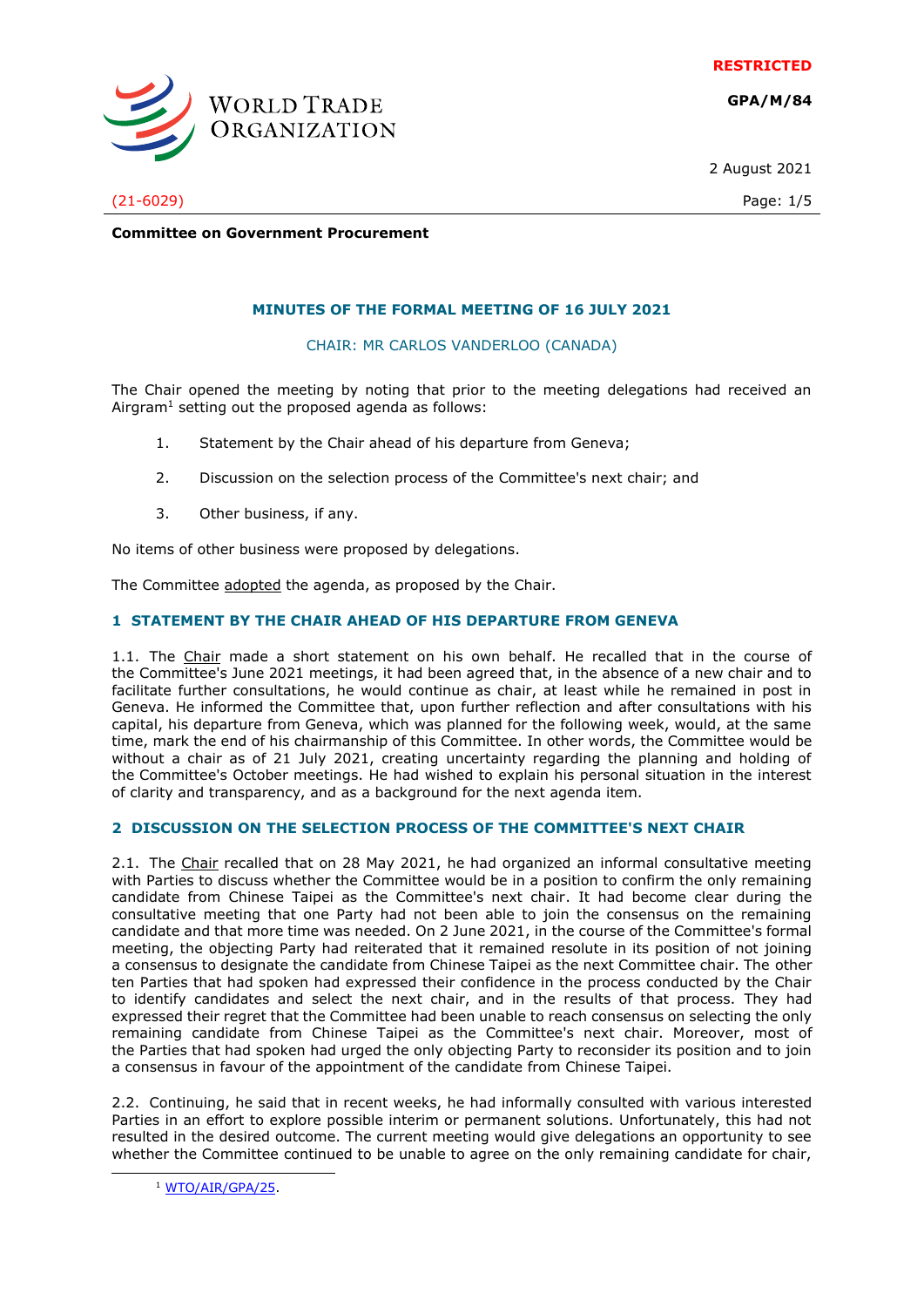**RESTRICTED**

**GPA/M/84**



2 August 2021

(21-6029) Page: 1/5

**Committee on Government Procurement**

## **MINUTES OF THE FORMAL MEETING OF 16 JULY 2021**

CHAIR: MR CARLOS VANDERLOO (CANADA)

The Chair opened the meeting by noting that prior to the meeting delegations had received an Airgram<sup>1</sup> setting out the proposed agenda as follows:

- 1. Statement by the Chair ahead of his departure from Geneva;
- 2. Discussion on the selection process of the Committee's next chair; and
- 3. Other business, if any.

No items of other business were proposed by delegations.

The Committee adopted the agenda, as proposed by the Chair.

## **1 STATEMENT BY THE CHAIR AHEAD OF HIS DEPARTURE FROM GENEVA**

1.1. The Chair made a short statement on his own behalf. He recalled that in the course of the Committee's June 2021 meetings, it had been agreed that, in the absence of a new chair and to facilitate further consultations, he would continue as chair, at least while he remained in post in Geneva. He informed the Committee that, upon further reflection and after consultations with his capital, his departure from Geneva, which was planned for the following week, would, at the same time, mark the end of his chairmanship of this Committee. In other words, the Committee would be without a chair as of 21 July 2021, creating uncertainty regarding the planning and holding of the Committee's October meetings. He had wished to explain his personal situation in the interest of clarity and transparency, and as a background for the next agenda item.

## **2 DISCUSSION ON THE SELECTION PROCESS OF THE COMMITTEE'S NEXT CHAIR**

2.1. The Chair recalled that on 28 May 2021, he had organized an informal consultative meeting with Parties to discuss whether the Committee would be in a position to confirm the only remaining candidate from Chinese Taipei as the Committee's next chair. It had become clear during the consultative meeting that one Party had not been able to join the consensus on the remaining candidate and that more time was needed. On 2 June 2021, in the course of the Committee's formal meeting, the objecting Party had reiterated that it remained resolute in its position of not joining a consensus to designate the candidate from Chinese Taipei as the next Committee chair. The other ten Parties that had spoken had expressed their confidence in the process conducted by the Chair to identify candidates and select the next chair, and in the results of that process. They had expressed their regret that the Committee had been unable to reach consensus on selecting the only remaining candidate from Chinese Taipei as the Committee's next chair. Moreover, most of the Parties that had spoken had urged the only objecting Party to reconsider its position and to join a consensus in favour of the appointment of the candidate from Chinese Taipei.

2.2. Continuing, he said that in recent weeks, he had informally consulted with various interested Parties in an effort to explore possible interim or permanent solutions. Unfortunately, this had not resulted in the desired outcome. The current meeting would give delegations an opportunity to see whether the Committee continued to be unable to agree on the only remaining candidate for chair,

<sup>1</sup> [WTO/AIR/GPA/25.](https://docs.wto.org/dol2fe/Pages/FE_Search/FE_S_S006.aspx?DataSource=Cat&query=@Symbol=%22WTO/AIR/GPA/25%22%20OR%20@Symbol=%22WTO/AIR/GPA/25/*%22&Language=English&Context=ScriptedSearches&languageUIChanged=true)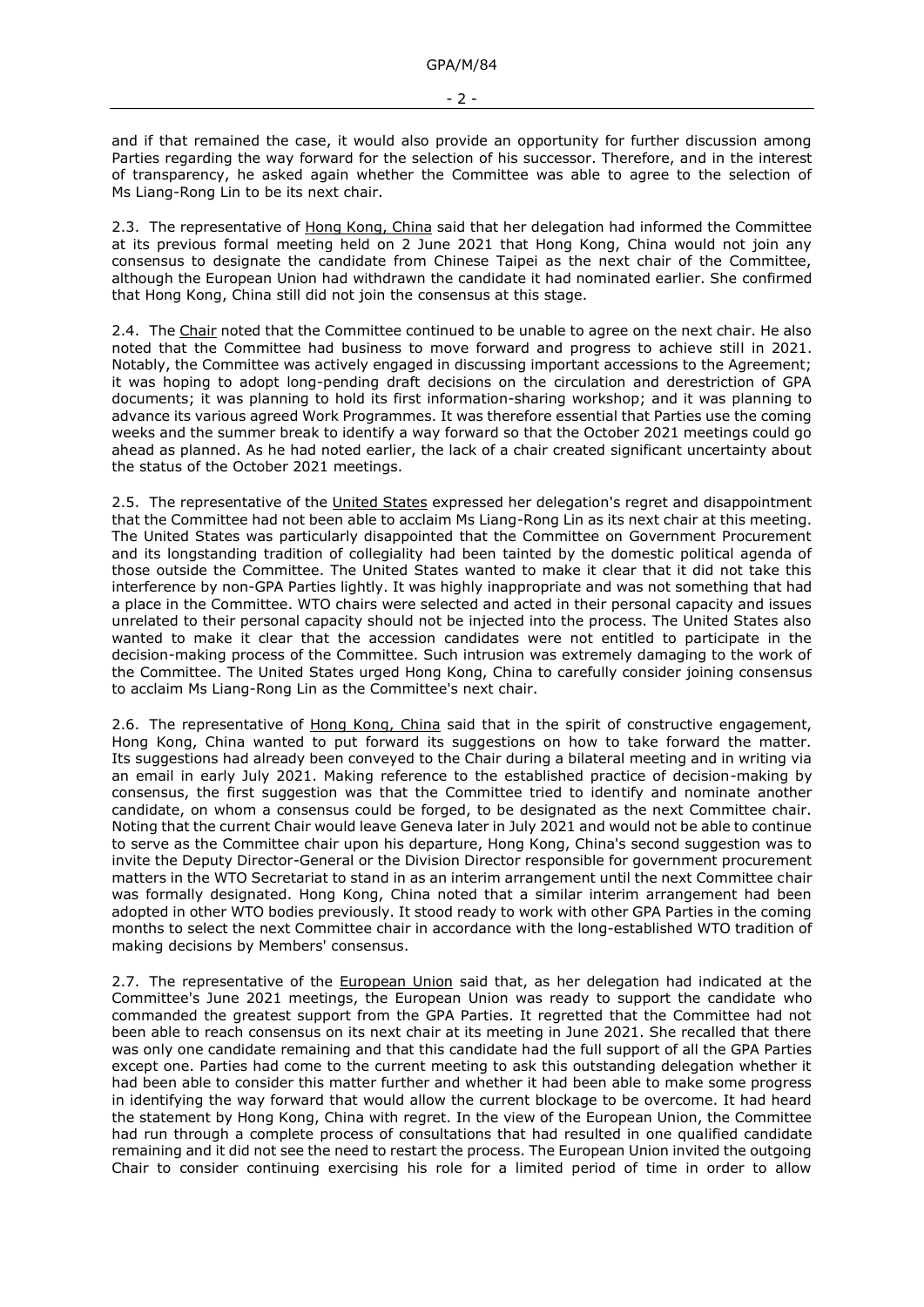and if that remained the case, it would also provide an opportunity for further discussion among Parties regarding the way forward for the selection of his successor. Therefore, and in the interest of transparency, he asked again whether the Committee was able to agree to the selection of Ms Liang-Rong Lin to be its next chair.

2.3. The representative of Hong Kong, China said that her delegation had informed the Committee at its previous formal meeting held on 2 June 2021 that Hong Kong, China would not join any consensus to designate the candidate from Chinese Taipei as the next chair of the Committee, although the European Union had withdrawn the candidate it had nominated earlier. She confirmed that Hong Kong, China still did not join the consensus at this stage.

2.4. The Chair noted that the Committee continued to be unable to agree on the next chair. He also noted that the Committee had business to move forward and progress to achieve still in 2021. Notably, the Committee was actively engaged in discussing important accessions to the Agreement; it was hoping to adopt long-pending draft decisions on the circulation and derestriction of GPA documents; it was planning to hold its first information-sharing workshop; and it was planning to advance its various agreed Work Programmes. It was therefore essential that Parties use the coming weeks and the summer break to identify a way forward so that the October 2021 meetings could go ahead as planned. As he had noted earlier, the lack of a chair created significant uncertainty about the status of the October 2021 meetings.

2.5. The representative of the United States expressed her delegation's regret and disappointment that the Committee had not been able to acclaim Ms Liang-Rong Lin as its next chair at this meeting. The United States was particularly disappointed that the Committee on Government Procurement and its longstanding tradition of collegiality had been tainted by the domestic political agenda of those outside the Committee. The United States wanted to make it clear that it did not take this interference by non-GPA Parties lightly. It was highly inappropriate and was not something that had a place in the Committee. WTO chairs were selected and acted in their personal capacity and issues unrelated to their personal capacity should not be injected into the process. The United States also wanted to make it clear that the accession candidates were not entitled to participate in the decision-making process of the Committee. Such intrusion was extremely damaging to the work of the Committee. The United States urged Hong Kong, China to carefully consider joining consensus to acclaim Ms Liang-Rong Lin as the Committee's next chair.

2.6. The representative of Hong Kong, China said that in the spirit of constructive engagement, Hong Kong, China wanted to put forward its suggestions on how to take forward the matter. Its suggestions had already been conveyed to the Chair during a bilateral meeting and in writing via an email in early July 2021. Making reference to the established practice of decision-making by consensus, the first suggestion was that the Committee tried to identify and nominate another candidate, on whom a consensus could be forged, to be designated as the next Committee chair. Noting that the current Chair would leave Geneva later in July 2021 and would not be able to continue to serve as the Committee chair upon his departure, Hong Kong, China's second suggestion was to invite the Deputy Director-General or the Division Director responsible for government procurement matters in the WTO Secretariat to stand in as an interim arrangement until the next Committee chair was formally designated. Hong Kong, China noted that a similar interim arrangement had been adopted in other WTO bodies previously. It stood ready to work with other GPA Parties in the coming months to select the next Committee chair in accordance with the long-established WTO tradition of making decisions by Members' consensus.

2.7. The representative of the European Union said that, as her delegation had indicated at the Committee's June 2021 meetings, the European Union was ready to support the candidate who commanded the greatest support from the GPA Parties. It regretted that the Committee had not been able to reach consensus on its next chair at its meeting in June 2021. She recalled that there was only one candidate remaining and that this candidate had the full support of all the GPA Parties except one. Parties had come to the current meeting to ask this outstanding delegation whether it had been able to consider this matter further and whether it had been able to make some progress in identifying the way forward that would allow the current blockage to be overcome. It had heard the statement by Hong Kong, China with regret. In the view of the European Union, the Committee had run through a complete process of consultations that had resulted in one qualified candidate remaining and it did not see the need to restart the process. The European Union invited the outgoing Chair to consider continuing exercising his role for a limited period of time in order to allow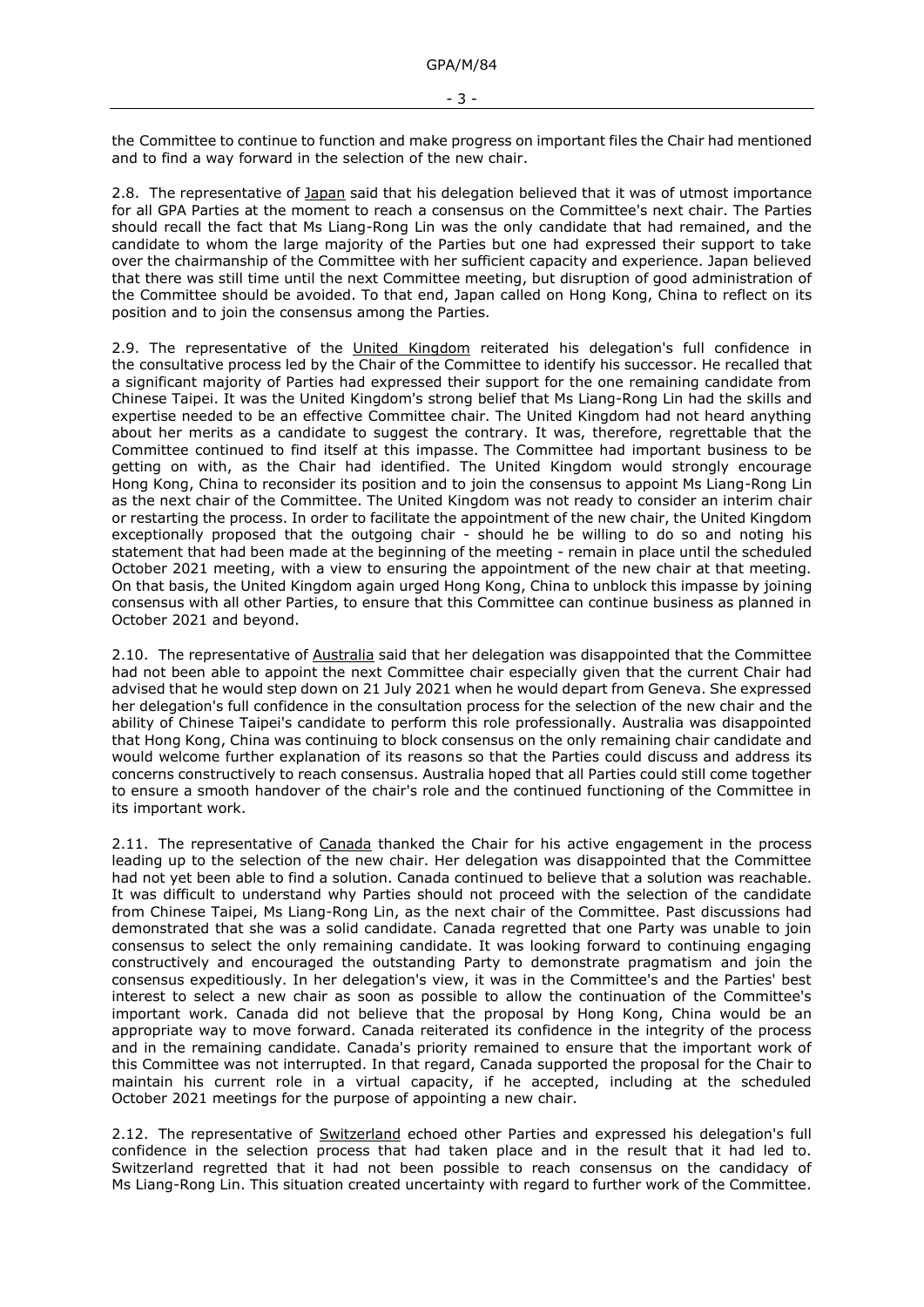the Committee to continue to function and make progress on important files the Chair had mentioned and to find a way forward in the selection of the new chair.

2.8. The representative of *Japan* said that his delegation believed that it was of utmost importance for all GPA Parties at the moment to reach a consensus on the Committee's next chair. The Parties should recall the fact that Ms Liang-Rong Lin was the only candidate that had remained, and the candidate to whom the large majority of the Parties but one had expressed their support to take over the chairmanship of the Committee with her sufficient capacity and experience. Japan believed that there was still time until the next Committee meeting, but disruption of good administration of the Committee should be avoided. To that end, Japan called on Hong Kong, China to reflect on its position and to join the consensus among the Parties.

2.9. The representative of the United Kingdom reiterated his delegation's full confidence in the consultative process led by the Chair of the Committee to identify his successor. He recalled that a significant majority of Parties had expressed their support for the one remaining candidate from Chinese Taipei. It was the United Kingdom's strong belief that Ms Liang-Rong Lin had the skills and expertise needed to be an effective Committee chair. The United Kingdom had not heard anything about her merits as a candidate to suggest the contrary. It was, therefore, regrettable that the Committee continued to find itself at this impasse. The Committee had important business to be getting on with, as the Chair had identified. The United Kingdom would strongly encourage Hong Kong, China to reconsider its position and to join the consensus to appoint Ms Liang-Rong Lin as the next chair of the Committee. The United Kingdom was not ready to consider an interim chair or restarting the process. In order to facilitate the appointment of the new chair, the United Kingdom exceptionally proposed that the outgoing chair - should he be willing to do so and noting his statement that had been made at the beginning of the meeting - remain in place until the scheduled October 2021 meeting, with a view to ensuring the appointment of the new chair at that meeting. On that basis, the United Kingdom again urged Hong Kong, China to unblock this impasse by joining consensus with all other Parties, to ensure that this Committee can continue business as planned in October 2021 and beyond.

2.10. The representative of Australia said that her delegation was disappointed that the Committee had not been able to appoint the next Committee chair especially given that the current Chair had advised that he would step down on 21 July 2021 when he would depart from Geneva. She expressed her delegation's full confidence in the consultation process for the selection of the new chair and the ability of Chinese Taipei's candidate to perform this role professionally. Australia was disappointed that Hong Kong, China was continuing to block consensus on the only remaining chair candidate and would welcome further explanation of its reasons so that the Parties could discuss and address its concerns constructively to reach consensus. Australia hoped that all Parties could still come together to ensure a smooth handover of the chair's role and the continued functioning of the Committee in its important work.

2.11. The representative of Canada thanked the Chair for his active engagement in the process leading up to the selection of the new chair. Her delegation was disappointed that the Committee had not yet been able to find a solution. Canada continued to believe that a solution was reachable. It was difficult to understand why Parties should not proceed with the selection of the candidate from Chinese Taipei, Ms Liang-Rong Lin, as the next chair of the Committee. Past discussions had demonstrated that she was a solid candidate. Canada regretted that one Party was unable to join consensus to select the only remaining candidate. It was looking forward to continuing engaging constructively and encouraged the outstanding Party to demonstrate pragmatism and join the consensus expeditiously. In her delegation's view, it was in the Committee's and the Parties' best interest to select a new chair as soon as possible to allow the continuation of the Committee's important work. Canada did not believe that the proposal by Hong Kong, China would be an appropriate way to move forward. Canada reiterated its confidence in the integrity of the process and in the remaining candidate. Canada's priority remained to ensure that the important work of this Committee was not interrupted. In that regard, Canada supported the proposal for the Chair to maintain his current role in a virtual capacity, if he accepted, including at the scheduled October 2021 meetings for the purpose of appointing a new chair.

2.12. The representative of Switzerland echoed other Parties and expressed his delegation's full confidence in the selection process that had taken place and in the result that it had led to. Switzerland regretted that it had not been possible to reach consensus on the candidacy of Ms Liang-Rong Lin. This situation created uncertainty with regard to further work of the Committee.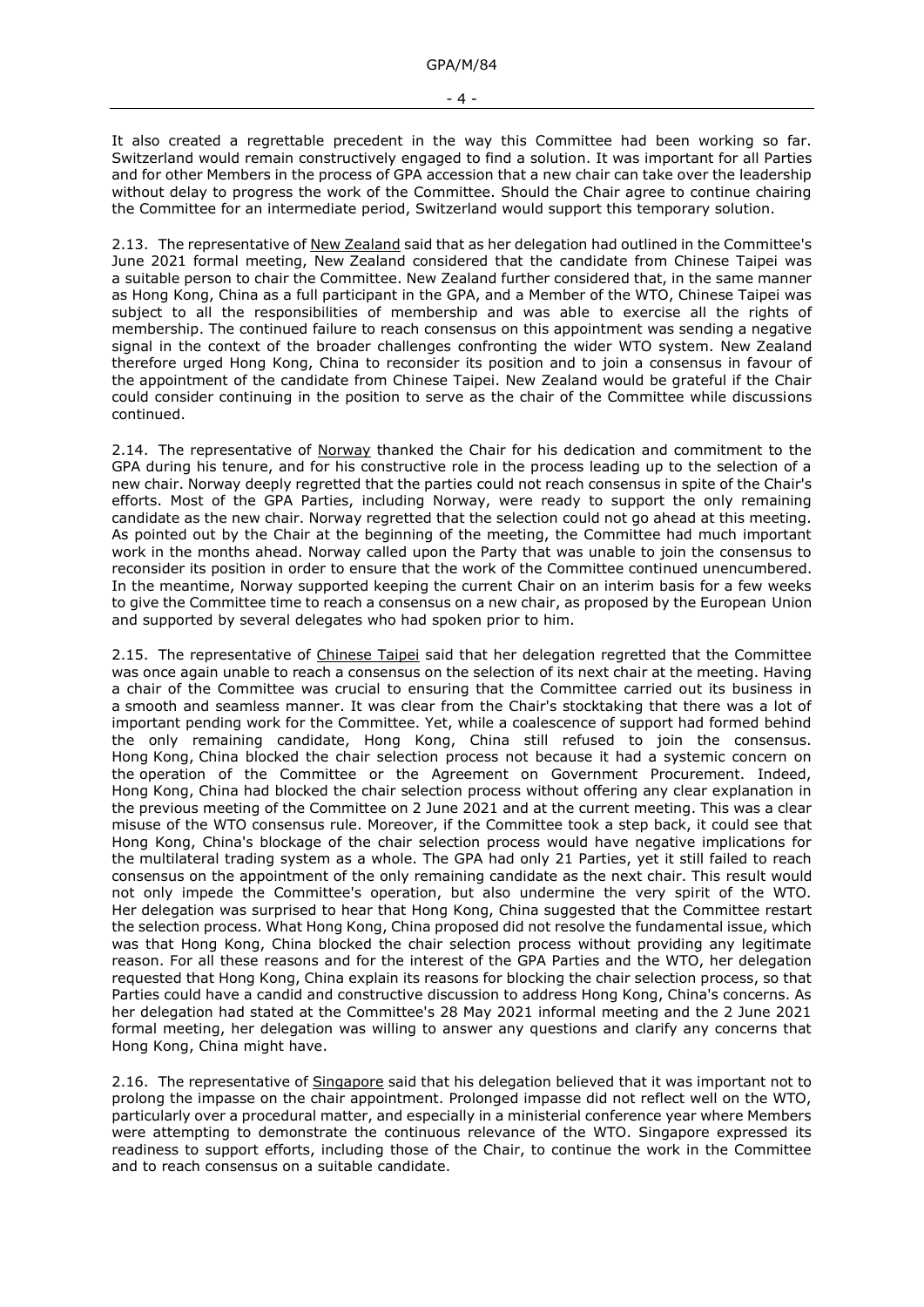- 4 -

It also created a regrettable precedent in the way this Committee had been working so far. Switzerland would remain constructively engaged to find a solution. It was important for all Parties and for other Members in the process of GPA accession that a new chair can take over the leadership without delay to progress the work of the Committee. Should the Chair agree to continue chairing the Committee for an intermediate period, Switzerland would support this temporary solution.

2.13. The representative of New Zealand said that as her delegation had outlined in the Committee's June 2021 formal meeting, New Zealand considered that the candidate from Chinese Taipei was a suitable person to chair the Committee. New Zealand further considered that, in the same manner as Hong Kong, China as a full participant in the GPA, and a Member of the WTO, Chinese Taipei was subject to all the responsibilities of membership and was able to exercise all the rights of membership. The continued failure to reach consensus on this appointment was sending a negative signal in the context of the broader challenges confronting the wider WTO system. New Zealand therefore urged Hong Kong, China to reconsider its position and to join a consensus in favour of the appointment of the candidate from Chinese Taipei. New Zealand would be grateful if the Chair could consider continuing in the position to serve as the chair of the Committee while discussions continued.

2.14. The representative of Norway thanked the Chair for his dedication and commitment to the GPA during his tenure, and for his constructive role in the process leading up to the selection of a new chair. Norway deeply regretted that the parties could not reach consensus in spite of the Chair's efforts. Most of the GPA Parties, including Norway, were ready to support the only remaining candidate as the new chair. Norway regretted that the selection could not go ahead at this meeting. As pointed out by the Chair at the beginning of the meeting, the Committee had much important work in the months ahead. Norway called upon the Party that was unable to join the consensus to reconsider its position in order to ensure that the work of the Committee continued unencumbered. In the meantime, Norway supported keeping the current Chair on an interim basis for a few weeks to give the Committee time to reach a consensus on a new chair, as proposed by the European Union and supported by several delegates who had spoken prior to him.

2.15. The representative of Chinese Taipei said that her delegation regretted that the Committee was once again unable to reach a consensus on the selection of its next chair at the meeting. Having a chair of the Committee was crucial to ensuring that the Committee carried out its business in a smooth and seamless manner. It was clear from the Chair's stocktaking that there was a lot of important pending work for the Committee. Yet, while a coalescence of support had formed behind the only remaining candidate, Hong Kong, China still refused to join the consensus. Hong Kong, China blocked the chair selection process not because it had a systemic concern on the operation of the Committee or the Agreement on Government Procurement. Indeed, Hong Kong, China had blocked the chair selection process without offering any clear explanation in the previous meeting of the Committee on 2 June 2021 and at the current meeting. This was a clear misuse of the WTO consensus rule. Moreover, if the Committee took a step back, it could see that Hong Kong, China's blockage of the chair selection process would have negative implications for the multilateral trading system as a whole. The GPA had only 21 Parties, yet it still failed to reach consensus on the appointment of the only remaining candidate as the next chair. This result would not only impede the Committee's operation, but also undermine the very spirit of the WTO. Her delegation was surprised to hear that Hong Kong, China suggested that the Committee restart the selection process. What Hong Kong, China proposed did not resolve the fundamental issue, which was that Hong Kong, China blocked the chair selection process without providing any legitimate reason. For all these reasons and for the interest of the GPA Parties and the WTO, her delegation requested that Hong Kong, China explain its reasons for blocking the chair selection process, so that Parties could have a candid and constructive discussion to address Hong Kong, China's concerns. As her delegation had stated at the Committee's 28 May 2021 informal meeting and the 2 June 2021 formal meeting, her delegation was willing to answer any questions and clarify any concerns that Hong Kong, China might have.

2.16. The representative of Singapore said that his delegation believed that it was important not to prolong the impasse on the chair appointment. Prolonged impasse did not reflect well on the WTO, particularly over a procedural matter, and especially in a ministerial conference year where Members were attempting to demonstrate the continuous relevance of the WTO. Singapore expressed its readiness to support efforts, including those of the Chair, to continue the work in the Committee and to reach consensus on a suitable candidate.